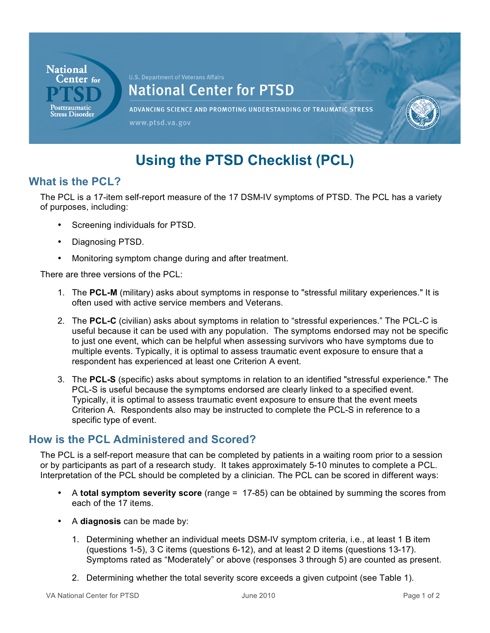

# **Using the PTSD Checklist (PCL)**

# **What is the PCL?**

 The PCL is a 17-item self-report measure of the 17 DSM-IV symptoms of PTSD. The PCL has a variety of purposes, including:

- • Screening individuals for PTSD.
- • Diagnosing PTSD.
- Monitoring symptom change during and after treatment.

There are three versions of the PCL:

- 1. The PCL-M (military) asks about symptoms in response to "stressful military experiences." It is often used with active service members and Veterans.
- 2. The PCL-C (civilian) asks about symptoms in relation to "stressful experiences." The PCL-C is useful because it can be used with any population. The symptoms endorsed may not be specific to just one event, which can be helpful when assessing survivors who have symptoms due to multiple events. Typically, it is optimal to assess traumatic event exposure to ensure that a respondent has experienced at least one Criterion A event.
- 3. The **PCL-S** (specific) asks about symptoms in relation to an identified "stressful experience." The Typically, it is optimal to assess traumatic event exposure to ensure that the event meets Criterion A. Respondents also may be instructed to complete the PCL-S in reference to a specific type of event. PCL-S is useful because the symptoms endorsed are clearly linked to a specified event.

## **How is the PCL Administered and Scored?**

 The PCL is a self-report measure that can be completed by patients in a waiting room prior to a session or by participants as part of a research study. It takes approximately 5-10 minutes to complete a PCL. Interpretation of the PCL should be completed by a clinician. The PCL can be scored in different ways:

- • A **total symptom severity score** (range = 17-85) can be obtained by summing the scores from each of the 17 items.
- A **diagnosis** can be made by:
	- 1. Determining whether an individual meets DSM-IV symptom criteria, i.e., at least 1 B item (questions 1-5), 3 C items (questions 6-12), and at least 2 D items (questions 13-17). Symptoms rated as "Moderately" or above (responses 3 through 5) are counted as present.
	- 2. Determining whether the total severity score exceeds a given cutpoint (see Table 1).